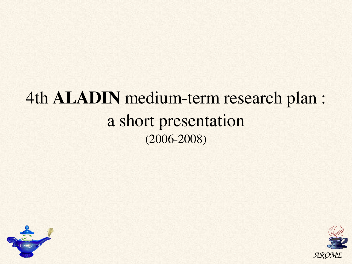# 4th ALADIN medium-term research plan : a short presentation  $(2006 - 2008)$



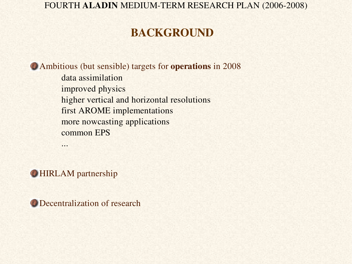# BACKGROUND

Ambitious (but sensible) targets for operations in 2008 data assimilation

improved physics higher vertical and horizontal resolutions first AROME implementations more nowcasting applications common EPS

**HIRLAM** partnership

...

**O** Decentralization of research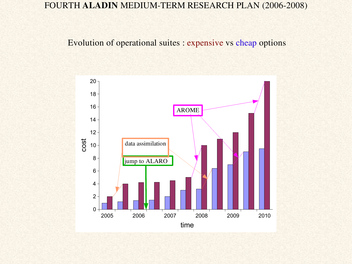Evolution of operational suites : expensive vs cheap options

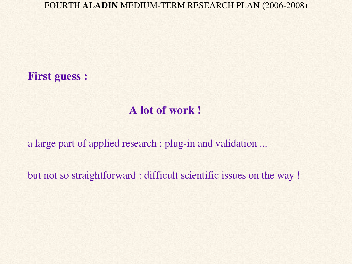First guess :

# A lot of work !

a large part of applied research : plug-in and validation ...

but not so straightforward : difficult scientific issues on the way !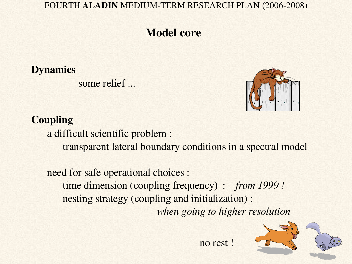# Model core

### **Dynamics**

some relief ...



### **Coupling**

a difficult scientific problem :

transparent lateral boundary conditions in a spectral model

need for safe operational choices : time dimension (coupling frequency) : *from 1999 !* nesting strategy (coupling and initialization) : *when going to higher resolution*



no rest !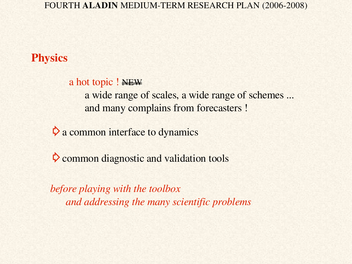## **Physics**

a hot topic ! NEW a wide range of scales, a wide range of schemes ... and many complains from forecasters !

 $\triangleright$  a common interface to dynamics

 $\triangleright$  common diagnostic and validation tools

*before playing with the toolbox and addressing the many scientific problems*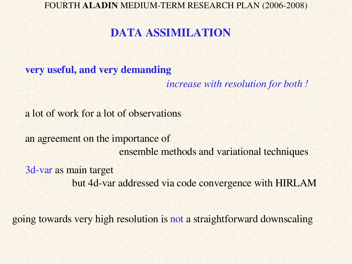# DATA ASSIMILATION

very useful, and very demanding

*increase with resolution for both !*

a lot of work for a lot of observations

an agreement on the importance of ensemble methods and variational techniques

3d-var as main target but 4d-var addressed via code convergence with HIRLAM

going towards very high resolution is not a straightforward downscaling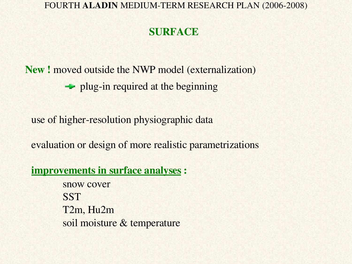# SURFACE

New ! moved outside the NWP model (externalization)  $\rightarrow$  plug-in required at the beginning

use of higher-resolution physiographic data

evaluation or design of more realistic parametrizations

improvements in surface analyses :

snow cover **SST** T2m, Hu2m soil moisture & temperature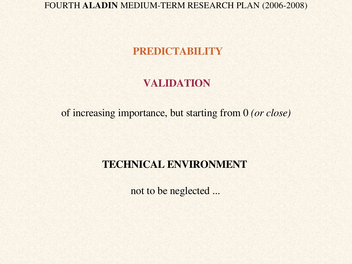### PREDICTABILITY

### VALIDATION

of increasing importance, but starting from 0 *(or close)*

### TECHNICAL ENVIRONMENT

not to be neglected ...